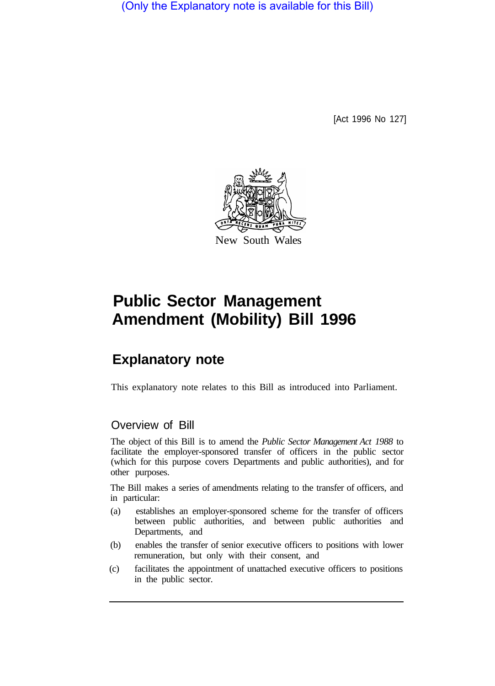(Only the Explanatory note is available for this Bill)

[Act 1996 No 127]



## **Public Sector Management Amendment (Mobility) Bill 1996**

## **Explanatory note**

This explanatory note relates to this Bill as introduced into Parliament.

## Overview of Bill

The object of this Bill is to amend the *Public Sector Management Act 1988* to facilitate the employer-sponsored transfer of officers in the public sector (which for this purpose covers Departments and public authorities), and for other purposes.

The Bill makes a series of amendments relating to the transfer of officers, and in particular:

- (a) establishes an employer-sponsored scheme for the transfer of officers between public authorities, and between public authorities and Departments, and
- (b) enables the transfer of senior executive officers to positions with lower remuneration, but only with their consent, and
- (c) facilitates the appointment of unattached executive officers to positions in the public sector.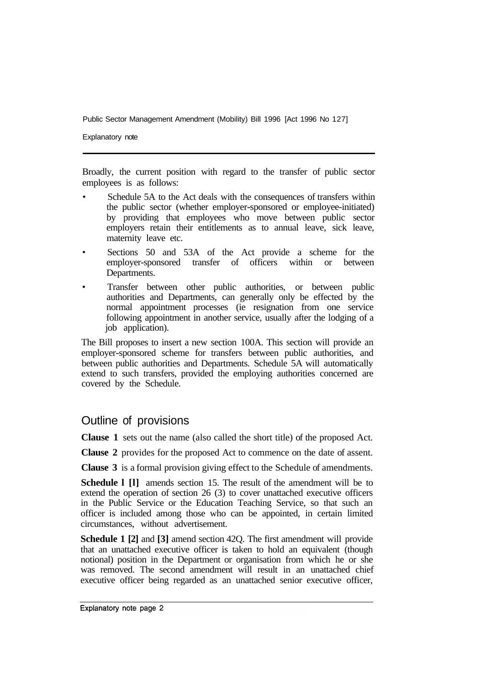Explanatory note

Broadly, the current position with regard to the transfer of public sector employees is as follows:

- Schedule 5A to the Act deals with the consequences of transfers within the public sector (whether employer-sponsored or employee-initiated) by providing that employees who move between public sector employers retain their entitlements as to annual leave, sick leave, maternity leave etc.
- Sections 50 and 53A of the Act provide a scheme for the employer-sponsored transfer of officers within or between Departments.
- Transfer between other public authorities, or between public authorities and Departments, can generally only be effected by the normal appointment processes (ie resignation from one service following appointment in another service, usually after the lodging of a job application).

The Bill proposes to insert a new section 100A. This section will provide an employer-sponsored scheme for transfers between public authorities, and between public authorities and Departments. Schedule 5A will automatically extend to such transfers, provided the employing authorities concerned are covered by the Schedule.

## Outline of provisions

**Clause 1** sets out the name (also called the short title) of the proposed Act.

**Clause 2** provides for the proposed Act to commence on the date of assent.

**Clause 3** is a formal provision giving effect to the Schedule of amendments.

**Schedule l [l]** amends section 15. The result of the amendment will be to extend the operation of section 26 (3) to cover unattached executive officers in the Public Service or the Education Teaching Service, so that such an officer is included among those who can be appointed, in certain limited circumstances, without advertisement.

**Schedule 1 [2]** and **[3]** amend section 42Q. The first amendment will provide that an unattached executive officer is taken to hold an equivalent (though notional) position in the Department or organisation from which he or she was removed. The second amendment will result in an unattached chief executive officer being regarded as an unattached senior executive officer,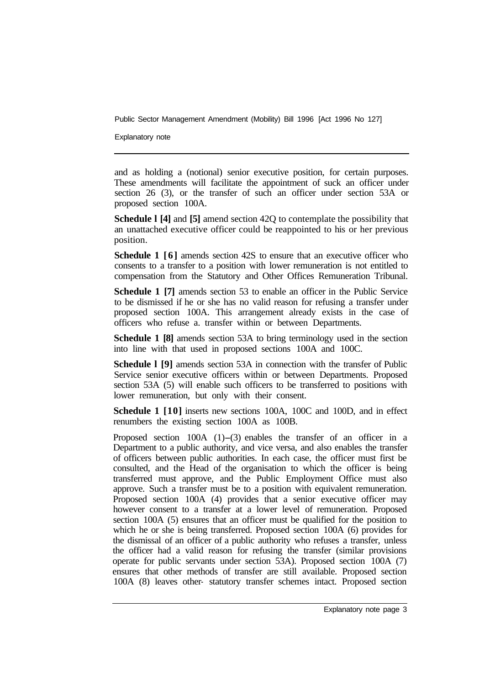Explanatory note

and as holding a (notional) senior executive position, for certain purposes. These amendments will facilitate the appointment of suck an officer under section 26 (3), or the transfer of such an officer under section 53A or proposed section 100A.

**Schedule l [4]** and **[5]** amend section 42Q to contemplate the possibility that an unattached executive officer could be reappointed to his or her previous position.

**Schedule 1 [6]** amends section 42S to ensure that an executive officer who consents to a transfer to a position with lower remuneration is not entitled to compensation from the Statutory and Other Offices Remuneration Tribunal.

**Schedule 1 [7]** amends section 53 to enable an officer in the Public Service to be dismissed if he or she has no valid reason for refusing a transfer under proposed section 100A. This arrangement already exists in the case of officers who refuse a. transfer within or between Departments.

**Schedule 1 [8]** amends section 53A to bring terminology used in the section into line with that used in proposed sections 100A and 100C.

**Schedule l [9]** amends section 53A in connection with the transfer of Public Service senior executive officers within or between Departments. Proposed section 53A (5) will enable such officers to be transferred to positions with lower remuneration, but only with their consent.

**Schedule 1 [10]** inserts new sections 100A, 100C and 100D, and in effect renumbers the existing section 100A as 100B.

Proposed section 100A (1)-(3) enables the transfer of an officer in a Department to a public authority, and vice versa, and also enables the transfer of officers between public authorities. In each case, the officer must first be consulted, and the Head of the organisation to which the officer is being transferred must approve, and the Public Employment Office must also approve. Such a transfer must be to a position with equivalent remuneration. Proposed section 100A (4) provides that a senior executive officer may however consent to a transfer at a lower level of remuneration. Proposed section 100A (5) ensures that an officer must be qualified for the position to which he or she is being transferred. Proposed section 100A (6) provides for the dismissal of an officer of a public authority who refuses a transfer, unless the officer had a valid reason for refusing the transfer (similar provisions operate for public servants under section 53A). Proposed section 100A (7) ensures that other methods of transfer are still available. Proposed section 100A (8) leaves other- statutory transfer schemes intact. Proposed section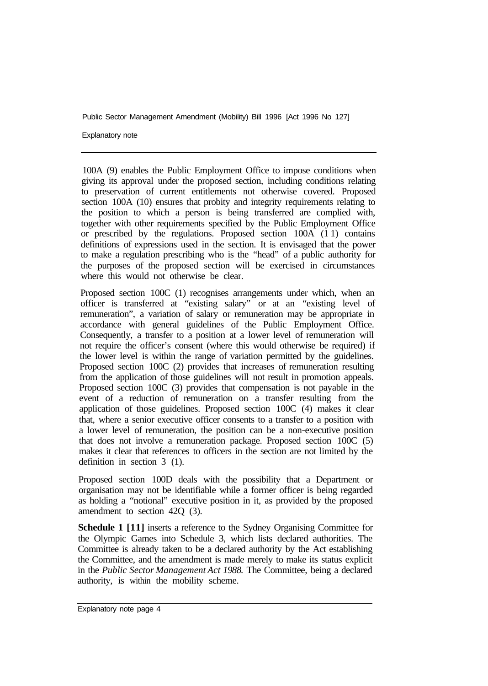Explanatory note

100A (9) enables the Public Employment Office to impose conditions when giving its approval under the proposed section, including conditions relating to preservation of current entitlements not otherwise covered. Proposed section 100A (10) ensures that probity and integrity requirements relating to the position to which a person is being transferred are complied with, together with other requirements specified by the Public Employment Office or prescribed by the regulations. Proposed section 100A (1 1) contains definitions of expressions used in the section. It is envisaged that the power to make a regulation prescribing who is the "head" of a public authority for the purposes of the proposed section will be exercised in circumstances where this would not otherwise be clear.

Proposed section 100C (1) recognises arrangements under which, when an officer is transferred at "existing salary" or at an "existing level of remuneration", a variation of salary or remuneration may be appropriate in accordance with general guidelines of the Public Employment Office. Consequently, a transfer to a position at a lower level of remuneration will not require the officer's consent (where this would otherwise be required) if the lower level is within the range of variation permitted by the guidelines. Proposed section 100C (2) provides that increases of remuneration resulting from the application of those guidelines will not result in promotion appeals. Proposed section 100C (3) provides that compensation is not payable in the event of a reduction of remuneration on a transfer resulting from the application of those guidelines. Proposed section 100C (4) makes it clear that, where a senior executive officer consents to a transfer to a position with a lower level of remuneration, the position can be a non-executive position that does not involve a remuneration package. Proposed section 100C (5) makes it clear that references to officers in the section are not limited by the definition in section 3 (1).

Proposed section 100D deals with the possibility that a Department or organisation may not be identifiable while a former officer is being regarded as holding a "notional" executive position in it, as provided by the proposed amendment to section 42Q (3).

**Schedule 1 [11]** inserts a reference to the Sydney Organising Committee for the Olympic Games into Schedule 3, which lists declared authorities. The Committee is already taken to be a declared authority by the Act establishing the Committee, and the amendment is made merely to make its status explicit in the *Public Sector Management Act 1988.* The Committee, being a declared authority, is within the mobility scheme.